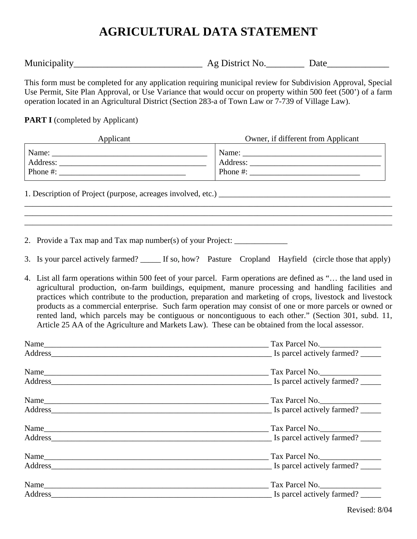## **AGRICULTURAL DATA STATEMENT**

Municipality\_\_\_\_\_\_\_\_\_\_\_\_\_\_\_\_\_\_\_\_\_\_\_\_\_\_\_ Ag District No.\_\_\_\_\_\_\_\_ Date\_\_\_\_\_\_\_\_\_\_\_\_\_

This form must be completed for any application requiring municipal review for Subdivision Approval, Special Use Permit, Site Plan Approval, or Use Variance that would occur on property within 500 feet (500') of a farm operation located in an Agricultural District (Section 283-a of Town Law or 7-739 of Village Law).

**PART I** (completed by Applicant)

| Applicant | Owner, if different from Applicant                                                                                                                                                                                                                                                                     |
|-----------|--------------------------------------------------------------------------------------------------------------------------------------------------------------------------------------------------------------------------------------------------------------------------------------------------------|
|           | Phone #: $\frac{1}{2}$ = $\frac{1}{2}$ = $\frac{1}{2}$ = $\frac{1}{2}$ = $\frac{1}{2}$ = $\frac{1}{2}$ = $\frac{1}{2}$ = $\frac{1}{2}$ = $\frac{1}{2}$ = $\frac{1}{2}$ = $\frac{1}{2}$ = $\frac{1}{2}$ = $\frac{1}{2}$ = $\frac{1}{2}$ = $\frac{1}{2}$ = $\frac{1}{2}$ = $\frac{1}{2}$ = $\frac{1}{2}$ |
|           |                                                                                                                                                                                                                                                                                                        |
|           |                                                                                                                                                                                                                                                                                                        |
|           |                                                                                                                                                                                                                                                                                                        |

2. Provide a Tax map and Tax map number(s) of your Project:

3. Is your parcel actively farmed? If so, how? Pasture Cropland Hayfield (circle those that apply)

4. List all farm operations within 500 feet of your parcel. Farm operations are defined as "… the land used in agricultural production, on-farm buildings, equipment, manure processing and handling facilities and practices which contribute to the production, preparation and marketing of crops, livestock and livestock products as a commercial enterprise. Such farm operation may consist of one or more parcels or owned or rented land, which parcels may be contiguous or noncontiguous to each other." (Section 301, subd. 11, Article 25 AA of the Agriculture and Markets Law). These can be obtained from the local assessor.

| Name    | Tax Parcel No.               |
|---------|------------------------------|
| Address | Is parcel actively farmed?   |
| Name    | $\frac{1}{2}$ Tax Parcel No. |
| Address | Is parcel actively farmed?   |
|         | Tax Parcel No.               |
| Address | Is parcel actively farmed?   |
| Name    | $\frac{1}{2}$ Tax Parcel No. |
| Address | Is parcel actively farmed?   |
| Name    | Tax Parcel No.               |
|         | Is parcel actively farmed?   |
| Name    | Tax Parcel No.               |
|         | Is parcel actively farmed?   |